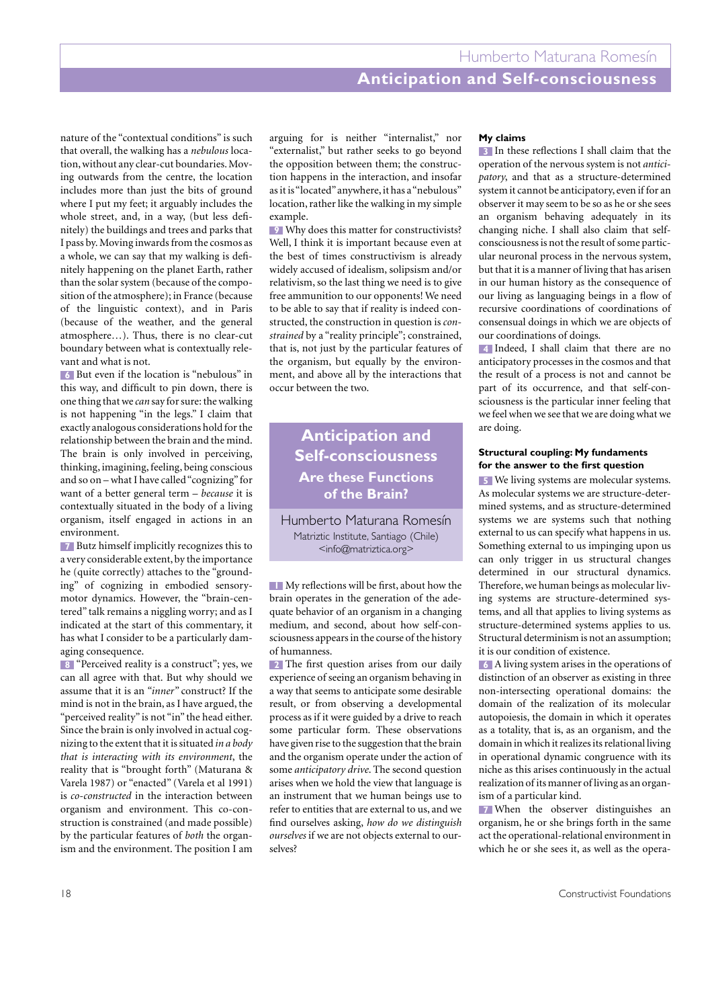# **Anticipation and Self-consciousness**

nature of the "contextual conditions" is such that overall, the walking has a *nebulous* location, without any clear-cut boundaries. Moving outwards from the centre, the location includes more than just the bits of ground where I put my feet; it arguably includes the whole street, and, in a way, (but less definitely) the buildings and trees and parks that I pass by. Moving inwards from the cosmos as a whole, we can say that my walking is definitely happening on the planet Earth, rather than the solar system (because of the composition of the atmosphere); in France (because of the linguistic context), and in Paris (because of the weather, and the general atmosphere…). Thus, there is no clear-cut boundary between what is contextually relevant and what is not.

But even if the location is "nebulous" in **6** this way, and difficult to pin down, there is one thing that we *can* say for sure: the walking is not happening "in the legs." I claim that exactly analogous considerations hold for the relationship between the brain and the mind. The brain is only involved in perceiving, thinking, imagining, feeling, being conscious and so on – what I have called "cognizing" for want of a better general term – *because* it is contextually situated in the body of a living organism, itself engaged in actions in an environment.

Butz himself implicitly recognizes this to **7** a very considerable extent, by the importance he (quite correctly) attaches to the "grounding" of cognizing in embodied sensorymotor dynamics. However, the "brain-centered" talk remains a niggling worry; and as I indicated at the start of this commentary, it has what I consider to be a particularly damaging consequence.

"Perceived reality is a construct"; yes, we **8** can all agree with that. But why should we assume that it is an *"inner"* construct? If the mind is not in the brain, as I have argued, the "perceived reality" is not "in" the head either. Since the brain is only involved in actual cognizing to the extent that it is situated *in a body that is interacting with its environment*, the reality that is "brought forth" (Maturana & Varela 1987) or "enacted" (Varela et al 1991) is *co-constructed* in the interaction between organism and environment. This co-construction is constrained (and made possible) by the particular features of *both* the organism and the environment. The position I am

arguing for is neither "internalist," nor "externalist," but rather seeks to go beyond the opposition between them; the construction happens in the interaction, and insofar as it is "located" anywhere, it has a "nebulous" location, rather like the walking in my simple example.

Why does this matter for constructivists? **9** Well, I think it is important because even at the best of times constructivism is already widely accused of idealism, solipsism and/or relativism, so the last thing we need is to give free ammunition to our opponents! We need to be able to say that if reality is indeed constructed, the construction in question is *constrained* by a "reality principle"; constrained, that is, not just by the particular features of the organism, but equally by the environment, and above all by the interactions that occur between the two.

## **Anticipation and Self-consciousness Are these Functions of the Brain?**

Humberto Maturana Romesín Matriztic Institute, Santiago (Chile) <info@matriztica.org>

My reflections will be first, about how the **1** brain operates in the generation of the adequate behavior of an organism in a changing medium, and second, about how self-consciousness appears in the course of the history of humanness.

The first question arises from our daily **2** experience of seeing an organism behaving in a way that seems to anticipate some desirable result, or from observing a developmental process as if it were guided by a drive to reach some particular form. These observations have given rise to the suggestion that the brain and the organism operate under the action of some *anticipatory drive*. The second question arises when we hold the view that language is an instrument that we human beings use to refer to entities that are external to us, and we find ourselves asking, *how do we distinguish ourselves* if we are not objects external to ourselves?

### **My claims**

In these reflections I shall claim that the **3** operation of the nervous system is not *anticipatory*, and that as a structure-determined system it cannot be anticipatory, even if for an observer it may seem to be so as he or she sees an organism behaving adequately in its changing niche. I shall also claim that selfconsciousness is not the result of some particular neuronal process in the nervous system, but that it is a manner of living that has arisen in our human history as the consequence of our living as languaging beings in a flow of recursive coordinations of coordinations of consensual doings in which we are objects of our coordinations of doings.

Indeed, I shall claim that there are no **4** anticipatory processes in the cosmos and that the result of a process is not and cannot be part of its occurrence, and that self-consciousness is the particular inner feeling that we feel when we see that we are doing what we are doing.

### **Structural coupling: My fundaments for the answer to the first question**

We living systems are molecular systems. **5** As molecular systems we are structure-determined systems, and as structure-determined systems we are systems such that nothing external to us can specify what happens in us. Something external to us impinging upon us can only trigger in us structural changes determined in our structural dynamics. Therefore, we human beings as molecular living systems are structure-determined systems, and all that applies to living systems as structure-determined systems applies to us. Structural determinism is not an assumption; it is our condition of existence.

A living system arises in the operations of **6** distinction of an observer as existing in three non-intersecting operational domains: the domain of the realization of its molecular autopoiesis, the domain in which it operates as a totality, that is, as an organism, and the domain in which it realizes its relational living in operational dynamic congruence with its niche as this arises continuously in the actual realization of its manner of living as an organism of a particular kind.

When the observer distinguishes an **7**organism, he or she brings forth in the same act the operational-relational environment in which he or she sees it, as well as the opera-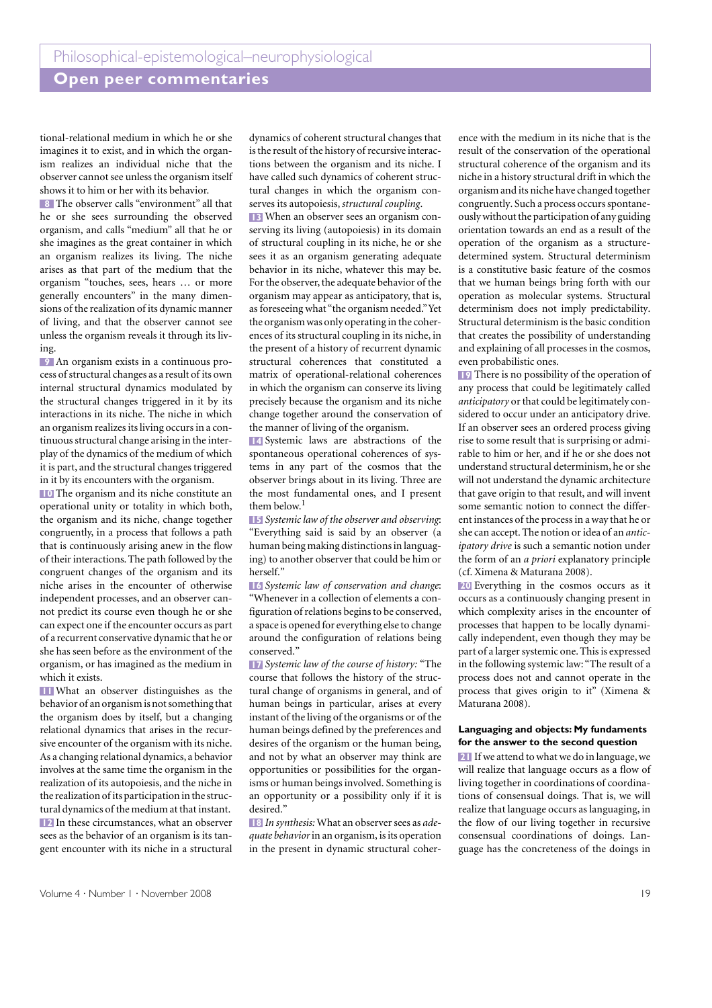### **Open peer commentaries**

tional-relational medium in which he or she imagines it to exist, and in which the organism realizes an individual niche that the observer cannot see unless the organism itself shows it to him or her with its behavior.

The observer calls "environment" all that **8** he or she sees surrounding the observed organism, and calls "medium" all that he or she imagines as the great container in which an organism realizes its living. The niche arises as that part of the medium that the organism "touches, sees, hears … or more generally encounters" in the many dimensions of the realization of its dynamic manner of living, and that the observer cannot see unless the organism reveals it through its living.

An organism exists in a continuous pro-**9** cess of structural changes as a result of its own internal structural dynamics modulated by the structural changes triggered in it by its interactions in its niche. The niche in which an organism realizes its living occurs in a continuous structural change arising in the interplay of the dynamics of the medium of which it is part, and the structural changes triggered in it by its encounters with the organism.

**10** The organism and its niche constitute an operational unity or totality in which both, the organism and its niche, change together congruently, in a process that follows a path that is continuously arising anew in the flow of their interactions. The path followed by the congruent changes of the organism and its niche arises in the encounter of otherwise independent processes, and an observer cannot predict its course even though he or she can expect one if the encounter occurs as part of a recurrent conservative dynamic that he or she has seen before as the environment of the organism, or has imagined as the medium in which it exists.

What an observer distinguishes as the **11** behavior of an organism is not something that the organism does by itself, but a changing relational dynamics that arises in the recursive encounter of the organism with its niche. As a changing relational dynamics, a behavior involves at the same time the organism in the realization of its autopoiesis, and the niche in the realization of its participation in the structural dynamics of the medium at that instant. In these circumstances, what an observer **12** sees as the behavior of an organism is its tangent encounter with its niche in a structural

dynamics of coherent structural changes that is the result of the history of recursive interactions between the organism and its niche. I have called such dynamics of coherent structural changes in which the organism conserves its autopoiesis, *structural coupling*.

When an observer sees an organism con-**13** serving its living (autopoiesis) in its domain of structural coupling in its niche, he or she sees it as an organism generating adequate behavior in its niche, whatever this may be. For the observer, the adequate behavior of the organism may appear as anticipatory, that is, as foreseeing what "the organism needed." Yet the organism was only operating in the coherences of its structural coupling in its niche, in the present of a history of recurrent dynamic structural coherences that constituted a matrix of operational-relational coherences in which the organism can conserve its living precisely because the organism and its niche change together around the conservation of the manner of living of the organism.

14 Systemic laws are abstractions of the spontaneous operational coherences of systems in any part of the cosmos that the observer brings about in its living. Three are the most fundamental ones, and I present them below.<sup>1</sup>

*Systemic law of the observer and observing*: **15** "Everything said is said by an observer (a human being making distinctions in languaging) to another observer that could be him or herself."

*Systemic law of conservation and change*: **16** "Whenever in a collection of elements a configuration of relations begins to be conserved, a space is opened for everything else to change around the configuration of relations being conserved."

*Systemic law of the course of history:* "The **17** course that follows the history of the structural change of organisms in general, and of human beings in particular, arises at every instant of the living of the organisms or of the human beings defined by the preferences and desires of the organism or the human being, and not by what an observer may think are opportunities or possibilities for the organisms or human beings involved. Something is an opportunity or a possibility only if it is desired."

*In synthesis:* What an observer sees as *ade-***18** *quate behavior* in an organism, is its operation in the present in dynamic structural coherence with the medium in its niche that is the result of the conservation of the operational structural coherence of the organism and its niche in a history structural drift in which the organism and its niche have changed together congruently. Such a process occurs spontaneously without the participation of any guiding orientation towards an end as a result of the operation of the organism as a structuredetermined system. Structural determinism is a constitutive basic feature of the cosmos that we human beings bring forth with our operation as molecular systems. Structural determinism does not imply predictability. Structural determinism is the basic condition that creates the possibility of understanding and explaining of all processes in the cosmos, even probabilistic ones.

**19** There is no possibility of the operation of any process that could be legitimately called *anticipatory* or that could be legitimately considered to occur under an anticipatory drive. If an observer sees an ordered process giving rise to some result that is surprising or admirable to him or her, and if he or she does not understand structural determinism, he or she will not understand the dynamic architecture that gave origin to that result, and will invent some semantic notion to connect the different instances of the process in a way that he or she can accept. The notion or idea of an *anticipatory drive* is such a semantic notion under the form of an *a priori* explanatory principle (cf. Ximena & Maturana 2008).

Everything in the cosmos occurs as it **20** occurs as a continuously changing present in which complexity arises in the encounter of processes that happen to be locally dynamically independent, even though they may be part of a larger systemic one. This is expressed in the following systemic law: "The result of a process does not and cannot operate in the process that gives origin to it" (Ximena & Maturana 2008).

### **Languaging and objects: My fundaments for the answer to the second question**

21 If we attend to what we do in language, we will realize that language occurs as a flow of living together in coordinations of coordinations of consensual doings. That is, we will realize that language occurs as languaging, in the flow of our living together in recursive consensual coordinations of doings. Language has the concreteness of the doings in